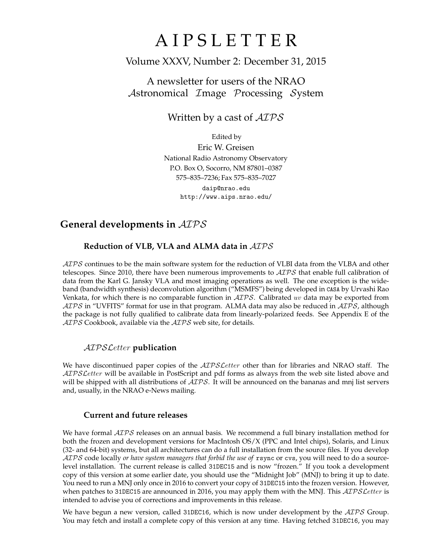# A I P S L E T T E R

# Volume XXXV, Number 2: December 31, 2015

# A newsletter for users of the NRAO Astronomical Image Processing System

Written by a cast of  $AIPS$ 

Edited by Eric W. Greisen National Radio Astronomy Observatory P.O. Box O, Socorro, NM 87801–0387 575–835–7236; Fax 575–835–7027 daip@nrao.edu http://www.aips.nrao.edu/

# **General developments in** AIPS

# **Reduction of VLB, VLA and ALMA data in** AIPS

 $ATPS$  continues to be the main software system for the reduction of VLBI data from the VLBA and other telescopes. Since 2010, there have been numerous improvements to  $AIPS$  that enable full calibration of data from the Karl G. Jansky VLA and most imaging operations as well. The one exception is the wideband (bandwidth synthesis) deconvolution algorithm ("MSMFS") being developed in CASA by Urvashi Rao Venkata, for which there is no comparable function in  $\mathcal{AIPS}$ . Calibrated uv data may be exported from  $AIPS$  in "UVFITS" format for use in that program. ALMA data may also be reduced in  $AIPS$ , although the package is not fully qualified to calibrate data from linearly-polarized feeds. See Appendix E of the  $AIPS$  Cookbook, available via the  $AIPS$  web site, for details.

## AIPSLetter **publication**

We have discontinued paper copies of the  $ATPSLetter$  other than for libraries and NRAO staff. The AIPS Letter will be available in PostScript and pdf forms as always from the web site listed above and will be shipped with all distributions of  $AIPS$ . It will be announced on the bananas and mnj list servers and, usually, in the NRAO e-News mailing.

## **Current and future releases**

We have formal  $\mathcal{AIPS}$  releases on an annual basis. We recommend a full binary installation method for both the frozen and development versions for MacIntosh OS/X (PPC and Intel chips), Solaris, and Linux (32- and 64-bit) systems, but all architectures can do a full installation from the source files. If you develop AIPS code locally *or have system managers that forbid the use of* rsync or cvs, you will need to do a sourcelevel installation. The current release is called 31DEC15 and is now "frozen." If you took a development copy of this version at some earlier date, you should use the "Midnight Job" (MNJ) to bring it up to date. You need to run a MNJ only once in 2016 to convert your copy of 31DEC15 into the frozen version. However, when patches to 31DEC15 are announced in 2016, you may apply them with the MNJ. This  $\mathcal{AIPS}\mathcal{L}etter$  is intended to advise you of corrections and improvements in this release.

We have begun a new version, called 31DEC16, which is now under development by the  $\mathcal{AIPS}$  Group. You may fetch and install a complete copy of this version at any time. Having fetched 31DEC16, you may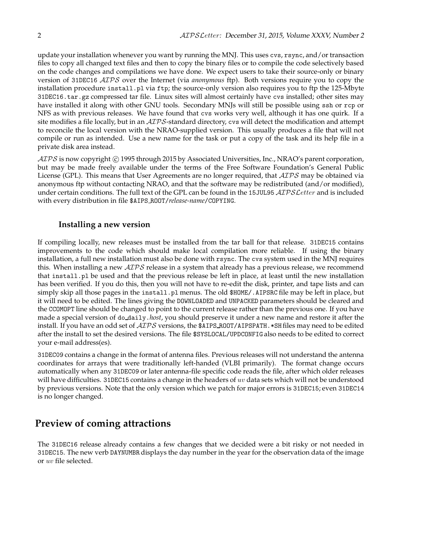update your installation whenever you want by running the MNJ. This uses cvs, rsync, and/or transaction files to copy all changed text files and then to copy the binary files or to compile the code selectively based on the code changes and compilations we have done. We expect users to take their source-only or binary version of 31DEC16 AIPS over the Internet (via *anonymous* ftp). Both versions require you to copy the installation procedure install.pl via ftp; the source-only version also requires you to ftp the 125-Mbyte 31DEC16.tar.gz compressed tar file. Linux sites will almost certainly have cvs installed; other sites may have installed it along with other GNU tools. Secondary MNJs will still be possible using ssh or rcp or NFS as with previous releases. We have found that cvs works very well, although it has one quirk. If a site modifies a file locally, but in an  $\mathcal{AIPS}$ -standard directory, cvs will detect the modification and attempt to reconcile the local version with the NRAO-supplied version. This usually produces a file that will not compile or run as intended. Use a new name for the task or put a copy of the task and its help file in a private disk area instead.

AIPS is now copyright C 1995 through 2015 by Associated Universities, Inc., NRAO's parent corporation, but may be made freely available under the terms of the Free Software Foundation's General Public License (GPL). This means that User Agreements are no longer required, that  $\mathcal{AIPS}$  may be obtained via anonymous ftp without contacting NRAO, and that the software may be redistributed (and/or modified), under certain conditions. The full text of the GPL can be found in the 15JUL95 ATPS Letter and is included with every distribution in file \$AIPS ROOT/*release-name*/COPYING.

### **Installing a new version**

If compiling locally, new releases must be installed from the tar ball for that release. 31DEC15 contains improvements to the code which should make local compilation more reliable. If using the binary installation, a full new installation must also be done with rsync. The cvs system used in the MNJ requires this. When installing a new  $\mathcal{AIPS}$  release in a system that already has a previous release, we recommend that install.pl be used and that the previous release be left in place, at least until the new installation has been verified. If you do this, then you will not have to re-edit the disk, printer, and tape lists and can simply skip all those pages in the install.pl menus. The old \$HOME/.AIPSRC file may be left in place, but it will need to be edited. The lines giving the DOWNLOADED and UNPACKED parameters should be cleared and the CCOMOPT line should be changed to point to the current release rather than the previous one. If you have made a special version of do daily.*host*, you should preserve it under a new name and restore it after the install. If you have an odd set of  $\mathcal{AIPS}$  versions, the \$AIPS\_ROOT/AIPSPATH.\*SHfiles may need to be edited after the install to set the desired versions. The file \$SYSLOCAL/UPDCONFIG also needs to be edited to correct your e-mail address(es).

31DEC09 contains a change in the format of antenna files. Previous releases will not understand the antenna coordinates for arrays that were traditionally left-handed (VLBI primarily). The format change occurs automatically when any 31DEC09 or later antenna-file specific code reads the file, after which older releases will have difficulties. 31DEC15 contains a change in the headers of  $uv$  data sets which will not be understood by previous versions. Note that the only version which we patch for major errors is 31DEC15; even 31DEC14 is no longer changed.

# **Preview of coming attractions**

The 31DEC16 release already contains a few changes that we decided were a bit risky or not needed in 31DEC15. The new verb DAYNUMBR displays the day number in the year for the observation data of the image or uv file selected.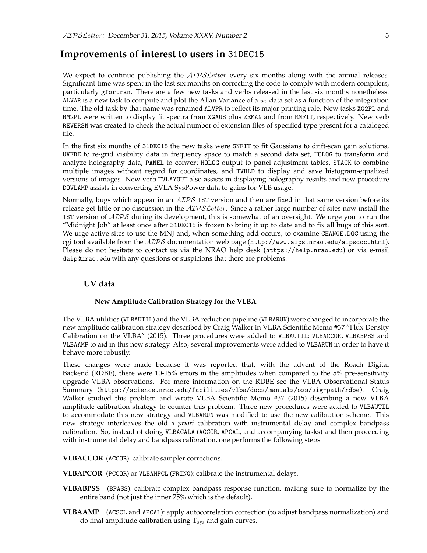# **Improvements of interest to users in** 31DEC15

We expect to continue publishing the  $\mathcal{AIPSLetter}$  every six months along with the annual releases. Significant time was spent in the last six months on correcting the code to comply with modern compilers, particularly gfortran. There are a few new tasks and verbs released in the last six months nonetheless. ALVAR is a new task to compute and plot the Allan Variance of a  $uv$  data set as a function of the integration time. The old task by that name was renamed ALVPR to reflect its major printing role. New tasks XG2PL and RM2PL were written to display fit spectra from XGAUS plus ZEMAN and from RMFIT, respectively. New verb REVERSN was created to check the actual number of extension files of specified type present for a cataloged file.

In the first six months of 31DEC15 the new tasks were SNFIT to fit Gaussians to drift-scan gain solutions, UVFRE to re-grid visibility data in frequency space to match a second data set, HOLOG to transform and analyze holography data, PANEL to convert HOLOG output to panel adjustment tables, STACK to combine multiple images without regard for coordinates, and TVHLD to display and save histogram-equalized versions of images. New verb TVLAYOUT also assists in displaying holography results and new procedure DOVLAMP assists in converting EVLA SysPower data to gains for VLB usage.

Normally, bugs which appear in an  $\mathcal{AIPS}$  TST version and then are fixed in that same version before its release get little or no discussion in the  $ATPSLetter$ . Since a rather large number of sites now install the TST version of  $\mathcal{AIPS}$  during its development, this is somewhat of an oversight. We urge you to run the "Midnight Job" at least once after 31DEC15 is frozen to bring it up to date and to fix all bugs of this sort. We urge active sites to use the MNJ and, when something odd occurs, to examine CHANGE.DOC using the cgi tool available from the  $AIPS$  documentation web page (http://www.aips.nrao.edu/aipsdoc.html). Please do not hesitate to contact us via the NRAO help desk (https://help.nrao.edu) or via e-mail daip@nrao.edu with any questions or suspicions that there are problems.

### **UV data**

#### **New Amplitude Calibration Strategy for the VLBA**

The VLBA utilities (VLBAUTIL) and the VLBA reduction pipeline (VLBARUN) were changed to incorporate the new amplitude calibration strategy described by Craig Walker in VLBA Scientific Memo #37 "Flux Density Calibration on the VLBA" (2015). Three procedures were added to VLBAUTIL: VLBACCOR, VLBABPSS and VLBAAMP to aid in this new strategy. Also, several improvements were added to VLBARUN in order to have it behave more robustly.

These changes were made because it was reported that, with the advent of the Roach Digital Backend (RDBE), there were 10-15% errors in the amplitudes when compared to the 5% pre-sensitivity upgrade VLBA observations. For more information on the RDBE see the VLBA Observational Status Summary (https://science.nrao.edu/facilities/vlba/docs/manuals/oss/sig-path/rdbe). Craig Walker studied this problem and wrote VLBA Scientific Memo #37 (2015) describing a new VLBA amplitude calibration strategy to counter this problem. Three new procedures were added to VLBAUTIL to accommodate this new strategy and VLBARUN was modified to use the new calibration scheme. This new strategy interleaves the old *a priori* calibration with instrumental delay and complex bandpass calibration. So, instead of doing VLBACALA (ACCOR, APCAL, and accompanying tasks) and then proceeding with instrumental delay and bandpass calibration, one performs the following steps

**VLBACCOR** (ACCOR): calibrate sampler corrections.

- **VLBAPCOR** (PCCOR) or VLBAMPCL (FRING): calibrate the instrumental delays.
- **VLBABPSS** (BPASS): calibrate complex bandpass response function, making sure to normalize by the entire band (not just the inner 75% which is the default).
- **VLBAAMP** (ACSCL and APCAL): apply autocorrelation correction (to adjust bandpass normalization) and do final amplitude calibration using  $T_{sys}$  and gain curves.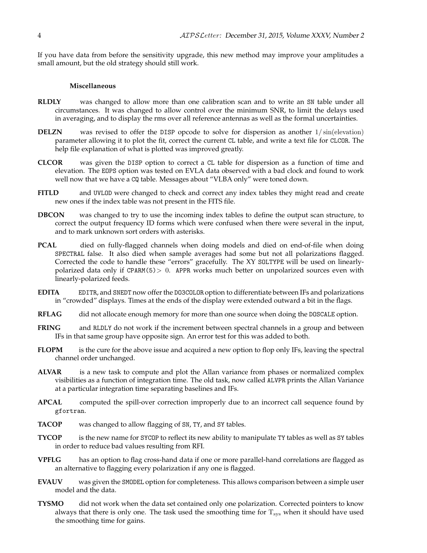If you have data from before the sensitivity upgrade, this new method may improve your amplitudes a small amount, but the old strategy should still work.

#### **Miscellaneous**

- **RLDLY** was changed to allow more than one calibration scan and to write an SN table under all circumstances. It was changed to allow control over the minimum SNR, to limit the delays used in averaging, and to display the rms over all reference antennas as well as the formal uncertainties.
- **DELZN** was revised to offer the DISP opcode to solve for dispersion as another  $1/\sin(\text{elevation})$ parameter allowing it to plot the fit, correct the current CL table, and write a text file for CLCOR. The help file explanation of what is plotted was improved greatly.
- **CLCOR** was given the DISP option to correct a CL table for dispersion as a function of time and elevation. The EOPS option was tested on EVLA data observed with a bad clock and found to work well now that we have a CQ table. Messages about "VLBA only" were toned down.
- **FITLD** and UVLOD were changed to check and correct any index tables they might read and create new ones if the index table was not present in the FITS file.
- **DBCON** was changed to try to use the incoming index tables to define the output scan structure, to correct the output frequency ID forms which were confused when there were several in the input, and to mark unknown sort orders with asterisks.
- **PCAL** died on fully-flagged channels when doing models and died on end-of-file when doing SPECTRAL false. It also died when sample averages had some but not all polarizations flagged. Corrected the code to handle these "errors" gracefully. The XY SOLTYPE will be used on linearlypolarized data only if  $CPARM(5)$  > 0. APPR works much better on unpolarized sources even with linearly-polarized feeds.
- **EDITA** EDITR, and SNEDT now offer the DO3COLOR option to differentiate between IFs and polarizations in "crowded" displays. Times at the ends of the display were extended outward a bit in the flags.
- RFLAG did not allocate enough memory for more than one source when doing the DOSCALE option.
- **FRING** and RLDLY do not work if the increment between spectral channels in a group and between IFs in that same group have opposite sign. An error test for this was added to both.
- **FLOPM** is the cure for the above issue and acquired a new option to flop only IFs, leaving the spectral channel order unchanged.
- **ALVAR** is a new task to compute and plot the Allan variance from phases or normalized complex visibilities as a function of integration time. The old task, now called ALVPR prints the Allan Variance at a particular integration time separating baselines and IFs.
- **APCAL** computed the spill-over correction improperly due to an incorrect call sequence found by gfortran.
- **TACOP** was changed to allow flagging of SN, TY, and SY tables.
- **TYCOP** is the new name for SYCOP to reflect its new ability to manipulate TY tables as well as SY tables in order to reduce bad values resulting from RFI.
- **VPFLG** has an option to flag cross-hand data if one or more parallel-hand correlations are flagged as an alternative to flagging every polarization if any one is flagged.
- **EVAUV** was given the SMODEL option for completeness. This allows comparison between a simple user model and the data.
- **TYSMO** did not work when the data set contained only one polarization. Corrected pointers to know always that there is only one. The task used the smoothing time for  $T_{sys}$  when it should have used the smoothing time for gains.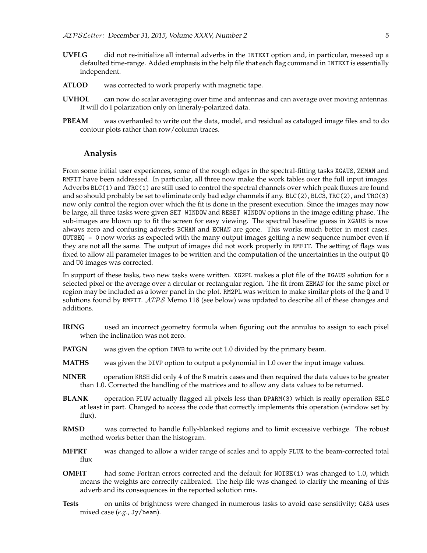- **UVFLG** did not re-initialize all internal adverbs in the INTEXT option and, in particular, messed up a defaulted time-range. Added emphasis in the help file that each flag command in INTEXT is essentially independent.
- **ATLOD** was corrected to work properly with magnetic tape.
- **UVHOL** can now do scalar averaging over time and antennas and can average over moving antennas. It will do I polarization only on lineraly-polarized data.
- **PBEAM** was overhauled to write out the data, model, and residual as cataloged image files and to do contour plots rather than row/column traces.

#### **Analysis**

From some initial user experiences, some of the rough edges in the spectral-fitting tasks XGAUS, ZEMAN and RMFIT have been addressed. In particular, all three now make the work tables over the full input images. Adverbs BLC(1) and TRC(1) are still used to control the spectral channels over which peak fluxes are found and so should probably be set to eliminate only bad edge channels if any. BLC(2), BLC3, TRC(2), and TRC(3) now only control the region over which the fit is done in the present execution. Since the images may now be large, all three tasks were given SET WINDOW and RESET WINDOW options in the image editing phase. The sub-images are blown up to fit the screen for easy viewing. The spectral baseline guess in XGAUS is now always zero and confusing adverbs BCHAN and ECHAN are gone. This works much better in most cases. OUTSEQ = 0 now works as expected with the many output images getting a new sequence number even if they are not all the same. The output of images did not work properly in RMFIT. The setting of flags was fixed to allow all parameter images to be written and the computation of the uncertainties in the output Q0 and U0 images was corrected.

In support of these tasks, two new tasks were written. XG2PL makes a plot file of the XGAUS solution for a selected pixel or the average over a circular or rectangular region. The fit from ZEMAN for the same pixel or region may be included as a lower panel in the plot. RM2PL was written to make similar plots of the Q and U solutions found by RMFIT. AIPS Memo 118 (see below) was updated to describe all of these changes and additions.

- **IRING** used an incorrect geometry formula when figuring out the annulus to assign to each pixel when the inclination was not zero.
- **PATGN** was given the option INVB to write out 1.0 divided by the primary beam.
- **MATHS** was given the DIVP option to output a polynomial in 1.0 over the input image values.
- **NINER** operation KRSH did only 4 of the 8 matrix cases and then required the data values to be greater than 1.0. Corrected the handling of the matrices and to allow any data values to be returned.
- **BLANK** operation FLUW actually flagged all pixels less than DPARM(3) which is really operation SELC at least in part. Changed to access the code that correctly implements this operation (window set by flux).
- **RMSD** was corrected to handle fully-blanked regions and to limit excessive verbiage. The robust method works better than the histogram.
- **MFPRT** was changed to allow a wider range of scales and to apply FLUX to the beam-corrected total flux
- **OMFIT** had some Fortran errors corrected and the default for NOISE(1) was changed to 1.0, which means the weights are correctly calibrated. The help file was changed to clarify the meaning of this adverb and its consequences in the reported solution rms.
- **Tests** on units of brightness were changed in numerous tasks to avoid case sensitivity; CASA uses mixed case (*e.g.*, Jy/beam).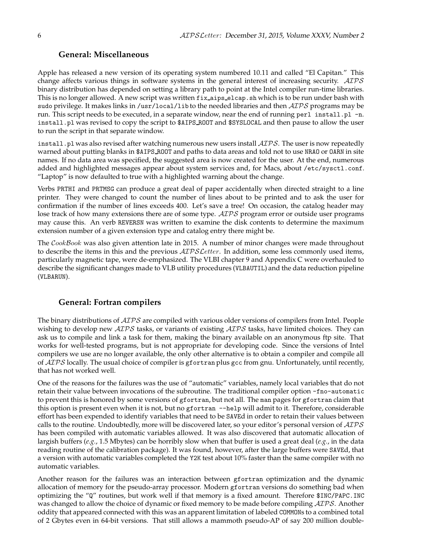### **General: Miscellaneous**

Apple has released a new version of its operating system numbered 10.11 and called "El Capitan." This change affects various things in software systems in the general interest of increasing security. AIPS binary distribution has depended on setting a library path to point at the Intel compiler run-time libraries. This is no longer allowed. A new script was written fix aips elcap.sh which is to be run under bash with sudo privilege. It makes links in /usr/local/lib to the needed libraries and then  $\mathcal{AIPS}$  programs may be run. This script needs to be executed, in a separate window, near the end of running perl install.pl -n. install.pl was revised to copy the script to \$AIPS ROOT and \$SYSLOCAL and then pause to allow the user to run the script in that separate window.

install.pl was also revised after watching numerous new users install  $\mathcal{AIPS}$ . The user is now repeatedly warned about putting blanks in \$AIPS ROOT and paths to data areas and told not to use NRAO or OARN in site names. If no data area was specified, the suggested area is now created for the user. At the end, numerous added and highlighted messages appear about system services and, for Macs, about /etc/sysct1.conf. "Laptop" is now defaulted to true with a highlighted warning about the change.

Verbs PRTHI and PRTMSG can produce a great deal of paper accidentally when directed straight to a line printer. They were changed to count the number of lines about to be printed and to ask the user for confirmation if the number of lines exceeds 400. Let's save a tree! On occasion, the catalog header may lose track of how many extensions there are of some type.  $ATPS$  program error or outside user programs may cause this. An verb REVERSN was written to examine the disk contents to determine the maximum extension number of a given extension type and catalog entry there might be.

The CookBook was also given attention late in 2015. A number of minor changes were made throughout to describe the items in this and the previous  $\mathcal{AIPS}\mathcal{L}etter$ . In addition, some less commonly used items, particularly magnetic tape, were de-emphasized. The VLBI chapter 9 and Appendix C were overhauled to describe the significant changes made to VLB utility procedures (VLBAUTIL) and the data reduction pipeline (VLBARUN).

### **General: Fortran compilers**

The binary distributions of  $\mathcal{AIPS}$  are compiled with various older versions of compilers from Intel. People wishing to develop new  $\mathcal{AIPS}$  tasks, or variants of existing  $\mathcal{AIPS}$  tasks, have limited choices. They can ask us to compile and link a task for them, making the binary available on an anonymous ftp site. That works for well-tested programs, but is not appropriate for developing code. Since the versions of Intel compilers we use are no longer available, the only other alternative is to obtain a compiler and compile all of AIPS locally. The usual choice of compiler is gfortran plus gcc from gnu. Unfortunately, until recently, that has not worked well.

One of the reasons for the failures was the use of "automatic" variables, namely local variables that do not retain their value between invocations of the subroutine. The traditional compiler option -fno-automatic to prevent this is honored by some versions of gfortran, but not all. The man pages for gfortran claim that this option is present even when it is not, but no gfortran --help will admit to it. Therefore, considerable effort has been expended to identify variables that need to be SAVEd in order to retain their values between calls to the routine. Undoubtedly, more will be discovered later, so your editor's personal version of  $\mathcal{AIPS}$ has been compiled with automatic variables allowed. It was also discovered that automatic allocation of largish buffers (*e.g.*, 1.5 Mbytes) can be horribly slow when that buffer is used a great deal (*e.g.*, in the data reading routine of the calibration package). It was found, however, after the large buffers were SAVEd, that a version with automatic variables completed the Y2K test about 10% faster than the same compiler with no automatic variables.

Another reason for the failures was an interaction between gfortran optimization and the dynamic allocation of memory for the pseudo-array processor. Modern gfortran versions do something bad when optimizing the "Q" routines, but work well if that memory is a fixed amount. Therefore \$INC/PAPC.INC was changed to allow the choice of dynamic or fixed memory to be made before compiling AIPS. Another oddity that appeared connected with this was an apparent limitation of labeled COMMONs to a combined total of 2 Gbytes even in 64-bit versions. That still allows a mammoth pseudo-AP of say 200 million double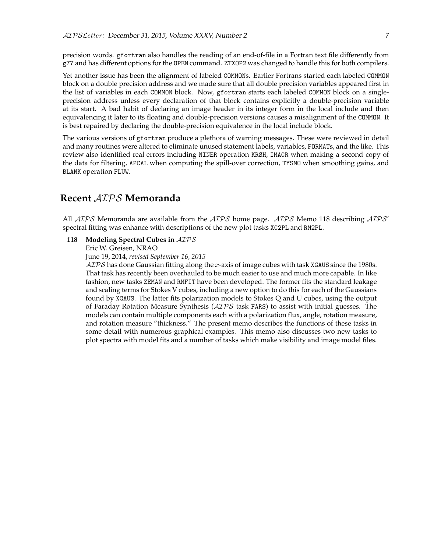precision words. gfortran also handles the reading of an end-of-file in a Fortran text file differently from g77 and has different options for the OPEN command. ZTXOP2 was changed to handle this for both compilers.

Yet another issue has been the alignment of labeled COMMONs. Earlier Fortrans started each labeled COMMON block on a double precision address and we made sure that all double precision variables appeared first in the list of variables in each COMMON block. Now, gfortran starts each labeled COMMON block on a singleprecision address unless every declaration of that block contains explicitly a double-precision variable at its start. A bad habit of declaring an image header in its integer form in the local include and then equivalencing it later to its floating and double-precision versions causes a misalignment of the COMMON. It is best repaired by declaring the double-precision equivalence in the local include block.

The various versions of gfortran produce a plethora of warning messages. These were reviewed in detail and many routines were altered to eliminate unused statement labels, variables, FORMATs, and the like. This review also identified real errors including NINER operation KRSH, IMAGR when making a second copy of the data for filtering, APCAL when computing the spill-over correction, TYSMO when smoothing gains, and BLANK operation FLUW.

# **Recent** AIPS **Memoranda**

All  $AIPS$  Memoranda are available from the  $AIPS$  home page.  $AIPS$  Memo 118 describing  $AIPS'$ spectral fitting was enhance with descriptions of the new plot tasks XG2PL and RM2PL.

#### **118 Modeling Spectral Cubes in** AIPS

Eric W. Greisen, NRAO

June 19, 2014, *revised September 16, 2015*

 $AIPS$  has done Gaussian fitting along the x-axis of image cubes with task XGAUS since the 1980s. That task has recently been overhauled to be much easier to use and much more capable. In like fashion, new tasks ZEMAN and RMFIT have been developed. The former fits the standard leakage and scaling terms for Stokes V cubes, including a new option to do this for each of the Gaussians found by XGAUS. The latter fits polarization models to Stokes Q and U cubes, using the output of Faraday Rotation Measure Synthesis (AIPS task FARS) to assist with initial guesses. The models can contain multiple components each with a polarization flux, angle, rotation measure, and rotation measure "thickness." The present memo describes the functions of these tasks in some detail with numerous graphical examples. This memo also discusses two new tasks to plot spectra with model fits and a number of tasks which make visibility and image model files.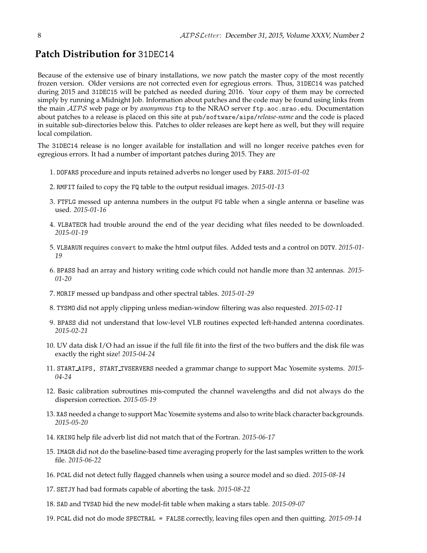# **Patch Distribution for** 31DEC14

Because of the extensive use of binary installations, we now patch the master copy of the most recently frozen version. Older versions are not corrected even for egregious errors. Thus, 31DEC14 was patched during 2015 and 31DEC15 will be patched as needed during 2016. Your copy of them may be corrected simply by running a Midnight Job. Information about patches and the code may be found using links from the main AIPS web page or by *anonymous* ftp to the NRAO server ftp.aoc.nrao.edu. Documentation about patches to a release is placed on this site at pub/software/aips/*release-name* and the code is placed in suitable sub-directories below this. Patches to older releases are kept here as well, but they will require local compilation.

The 31DEC14 release is no longer available for installation and will no longer receive patches even for egregious errors. It had a number of important patches during 2015. They are

- 1. DOFARS procedure and inputs retained adverbs no longer used by FARS. *2015-01-02*
- 2. RMFIT failed to copy the FQ table to the output residual images. *2015-01-13*
- 3. FTFLG messed up antenna numbers in the output FG table when a single antenna or baseline was used. *2015-01-16*
- 4. VLBATECR had trouble around the end of the year deciding what files needed to be downloaded. *2015-01-19*
- 5. VLBARUN requires convert to make the html output files. Added tests and a control on DOTV. *2015-01- 19*
- 6. BPASS had an array and history writing code which could not handle more than 32 antennas. *2015- 01-20*
- 7. MORIF messed up bandpass and other spectral tables. *2015-01-29*
- 8. TYSMO did not apply clipping unless median-window filtering was also requested. *2015-02-11*
- 9. BPASS did not understand that low-level VLB routines expected left-handed antenna coordinates. *2015-02-21*
- 10. UV data disk I/O had an issue if the full file fit into the first of the two buffers and the disk file was exactly the right size! *2015-04-24*
- 11. START AIPS, START TVSERVERS needed a grammar change to support Mac Yosemite systems. *2015- 04-24*
- 12. Basic calibration subroutines mis-computed the channel wavelengths and did not always do the dispersion correction. *2015-05-19*
- 13. XAS needed a change to support Mac Yosemite systems and also to write black character backgrounds. *2015-05-20*
- 14. KRING help file adverb list did not match that of the Fortran. *2015-06-17*
- 15. IMAGR did not do the baseline-based time averaging properly for the last samples written to the work file. *2015-06-22*
- 16. PCAL did not detect fully flagged channels when using a source model and so died. *2015-08-14*
- 17. SETJY had bad formats capable of aborting the task. *2015-08-22*
- 18. SAD and TVSAD hid the new model-fit table when making a stars table. *2015-09-07*
- 19. PCAL did not do mode SPECTRAL = FALSE correctly, leaving files open and then quitting. *2015-09-14*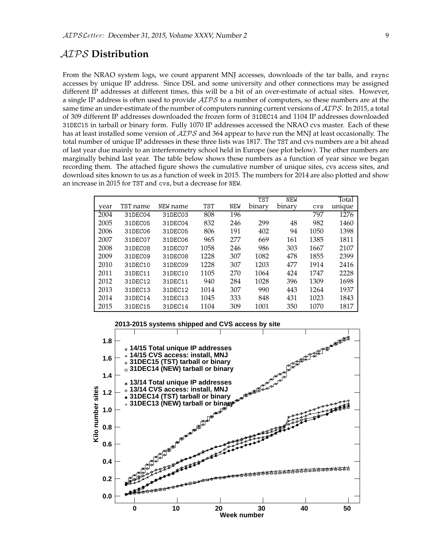# AIPS **Distribution**

From the NRAO system logs, we count apparent MNJ accesses, downloads of the tar balls, and rsync accesses by unique IP address. Since DSL and some university and other connections may be assigned different IP addresses at different times, this will be a bit of an over-estimate of actual sites. However, a single IP address is often used to provide  $ATPS$  to a number of computers, so these numbers are at the same time an under-estimate of the number of computers running current versions of  $\mathcal{AIPS}$ . In 2015, a total of 309 different IP addresses downloaded the frozen form of 31DEC14 and 1104 IP addresses downloaded 31DEC15 in tarball or binary form. Fully 1070 IP addresses accessed the NRAO cvs master. Each of these has at least installed some version of  $\mathcal{AIPS}$  and 364 appear to have run the MNJ at least occasionally. The total number of unique IP addresses in these three lists was 1817. The TST and cvs numbers are a bit ahead of last year due mainly to an interferometry school held in Europe (see plot below). The other numbers are marginally behind last year. The table below shows these numbers as a function of year since we began recording them. The attached figure shows the cumulative number of unique sites, cvs access sites, and download sites known to us as a function of week in 2015. The numbers for 2014 are also plotted and show an increase in 2015 for TST and cvs, but a decrease for NEW.

|      |          |          |            |            | <b>TST</b> | <b>NEW</b> |        | Total  |
|------|----------|----------|------------|------------|------------|------------|--------|--------|
| year | TST name | NEW name | <b>TST</b> | <b>NEW</b> | binary     | binary     | $\cos$ | unique |
| 2004 | 31DEC04  | 31DEC03  | 808        | 196        |            |            | 797    | 1276   |
| 2005 | 31DEC05  | 31DEC04  | 832        | 246        | 299        | 48         | 982    | 1460   |
| 2006 | 31DEC06  | 31DEC05  | 806        | 191        | 402        | 94         | 1050   | 1398   |
| 2007 | 31DEC07  | 31DEC06  | 965        | 277        | 669        | 161        | 1385   | 1811   |
| 2008 | 31DEC08  | 31DEC07  | 1058       | 246        | 986        | 303        | 1667   | 2107   |
| 2009 | 31DEC09  | 31DEC08  | 1228       | 307        | 1082       | 478        | 1855   | 2399   |
| 2010 | 31DEC10  | 31DEC09  | 1228       | 307        | 1203       | 477        | 1914   | 2416   |
| 2011 | 31DEC11  | 31DEC10  | 1105       | 270        | 1064       | 424        | 1747   | 2228   |
| 2012 | 31DEC12  | 31DEC11  | 940        | 284        | 1028       | 396        | 1309   | 1698   |
| 2013 | 31DEC13  | 31DEC12  | 1014       | 307        | 990        | 443        | 1264   | 1937   |
| 2014 | 31DEC14  | 31DEC13  | 1045       | 333        | 848        | 431        | 1023   | 1843   |
| 2015 | 31DEC15  | 31DEC14  | 1104       | 309        | 1001       | 350        | 1070   | 1817   |